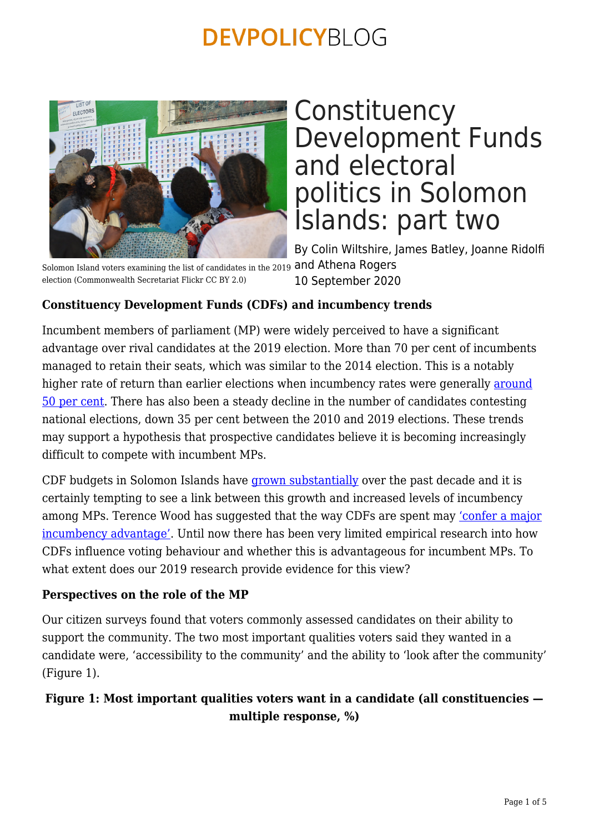

Solomon Island voters examining the list of candidates in the 2019 and Athena Rogers election (Commonwealth Secretariat Flickr CC BY 2.0)

## **Constituency** Development Funds and electoral politics in Solomon Islands: part two

By Colin Wiltshire, James Batley, Joanne Ridolfi 10 September 2020

### **Constituency Development Funds (CDFs) and incumbency trends**

Incumbent members of parliament (MP) were widely perceived to have a significant advantage over rival candidates at the 2019 election. More than 70 per cent of incumbents managed to retain their seats, which was similar to the 2014 election. This is a notably higher rate of return than earlier elections when incumbency rates were generally [around](https://devpolicy.org/development-and-2019-elections-solomon-islands-20190423/) [50 per cent](https://devpolicy.org/development-and-2019-elections-solomon-islands-20190423/). There has also been a steady decline in the number of candidates contesting national elections, down 35 per cent between the 2010 and 2019 elections. These trends may support a hypothesis that prospective candidates believe it is becoming increasingly difficult to compete with incumbent MPs.

CDF budgets in Solomon Islands have [grown substantially](http://dpa.bellschool.anu.edu.au/sites/default/files/publications/attachments/2018-02/ib2018_4_wiltshire_and_batley.pdf) over the past decade and it is certainly tempting to see a link between this growth and increased levels of incumbency among MPs. Terence Wood has suggested that the way CDFs are spent may ['confer a major](https://devpolicy.org/development-and-2019-elections-solomon-islands-20190423/) [incumbency advantage'](https://devpolicy.org/development-and-2019-elections-solomon-islands-20190423/). Until now there has been very limited empirical research into how CDFs influence voting behaviour and whether this is advantageous for incumbent MPs. To what extent does our 2019 research provide evidence for this view?

### **Perspectives on the role of the MP**

Our citizen surveys found that voters commonly assessed candidates on their ability to support the community. The two most important qualities voters said they wanted in a candidate were, 'accessibility to the community' and the ability to 'look after the community' (Figure 1).

### **Figure 1: Most important qualities voters want in a candidate (all constituencies multiple response, %)**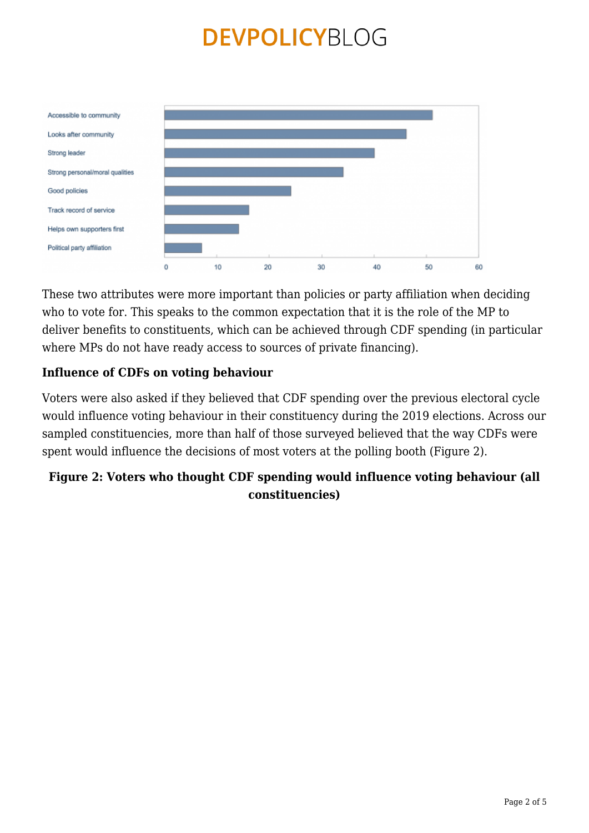

These two attributes were more important than policies or party affiliation when deciding who to vote for. This speaks to the common expectation that it is the role of the MP to deliver benefits to constituents, which can be achieved through CDF spending (in particular where MPs do not have ready access to sources of private financing).

#### **Influence of CDFs on voting behaviour**

Voters were also asked if they believed that CDF spending over the previous electoral cycle would influence voting behaviour in their constituency during the 2019 elections. Across our sampled constituencies, more than half of those surveyed believed that the way CDFs were spent would influence the decisions of most voters at the polling booth (Figure 2).

### **Figure 2: Voters who thought CDF spending would influence voting behaviour (all constituencies)**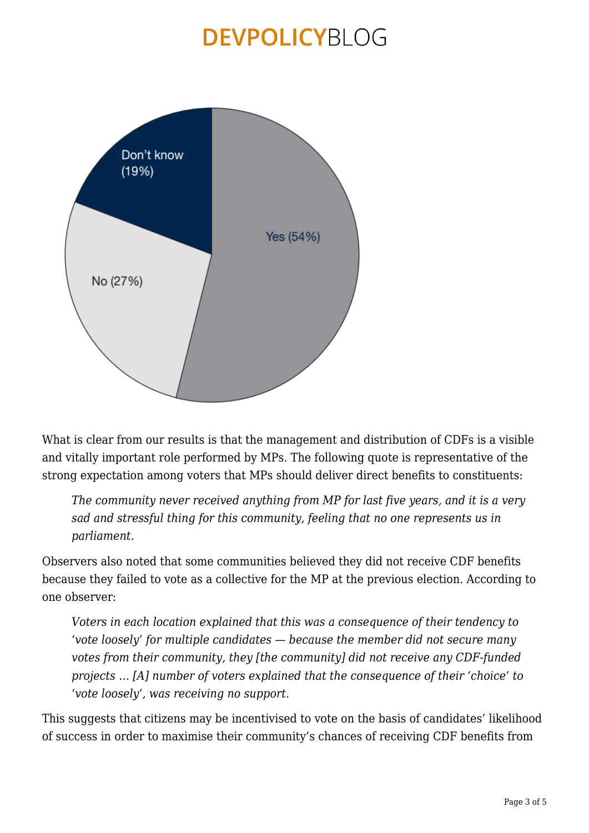

What is clear from our results is that the management and distribution of CDFs is a visible and vitally important role performed by MPs. The following quote is representative of the strong expectation among voters that MPs should deliver direct benefits to constituents:

*The community never received anything from MP for last five years, and it is a very sad and stressful thing for this community, feeling that no one represents us in parliament.*

Observers also noted that some communities believed they did not receive CDF benefits because they failed to vote as a collective for the MP at the previous election. According to one observer:

*Voters in each location explained that this was a consequence of their tendency to 'vote loosely' for multiple candidates — because the member did not secure many votes from their community, they [the community] did not receive any CDF-funded projects … [A] number of voters explained that the consequence of their 'choice' to 'vote loosely', was receiving no support.*

This suggests that citizens may be incentivised to vote on the basis of candidates' likelihood of success in order to maximise their community's chances of receiving CDF benefits from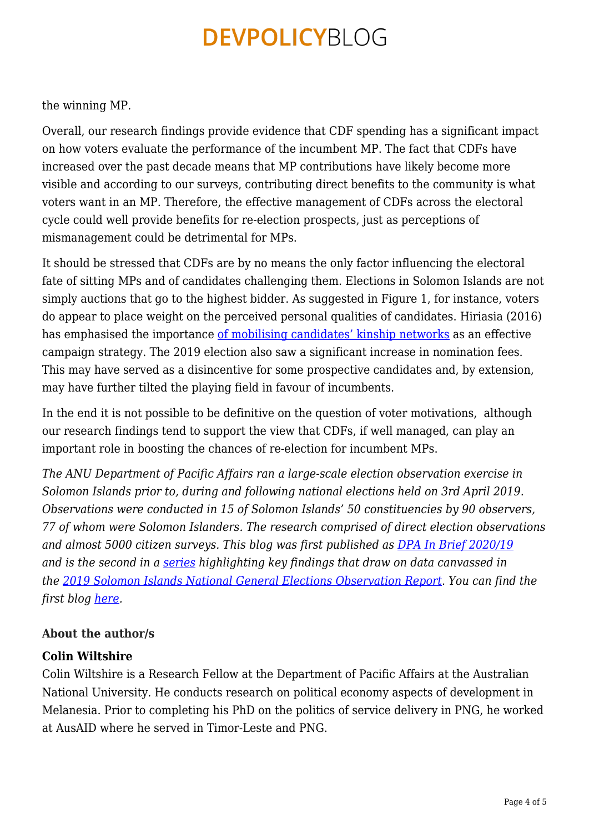the winning MP.

Overall, our research findings provide evidence that CDF spending has a significant impact on how voters evaluate the performance of the incumbent MP. The fact that CDFs have increased over the past decade means that MP contributions have likely become more visible and according to our surveys, contributing direct benefits to the community is what voters want in an MP. Therefore, the effective management of CDFs across the electoral cycle could well provide benefits for re-election prospects, just as perceptions of mismanagement could be detrimental for MPs.

It should be stressed that CDFs are by no means the only factor influencing the electoral fate of sitting MPs and of candidates challenging them. Elections in Solomon Islands are not simply auctions that go to the highest bidder. As suggested in Figure 1, for instance, voters do appear to place weight on the perceived personal qualities of candidates. Hiriasia (2016) has emphasised the importance [of mobilising candidates' kinship networks](http://ssgm.bellschool.anu.edu.au/sites/default/files/publications/attachments/2016-08/dp_2016_4_hiriasia.pdf) as an effective campaign strategy. The 2019 election also saw a significant increase in nomination fees. This may have served as a disincentive for some prospective candidates and, by extension, may have further tilted the playing field in favour of incumbents.

In the end it is not possible to be definitive on the question of voter motivations, although our research findings tend to support the view that CDFs, if well managed, can play an important role in boosting the chances of re-election for incumbent MPs.

*The ANU Department of Pacific Affairs ran a large-scale election observation exercise in Solomon Islands prior to, during and following national elections held on 3rd April 2019. Observations were conducted in 15 of Solomon Islands' 50 constituencies by 90 observers, 77 of whom were Solomon Islanders. The research comprised of direct election observations and almost 5000 citizen surveys. This blog was first published as [DPA In Brief 2020/19](http://dpa.bellschool.anu.edu.au/experts-publications/publications/7597/ib-202019-constituency-development-funds-and-electoral) and is the second in a [series](https://devpolicy.org/tag/2019-solomon-islands-national-general-election-observation-report/) highlighting key findings that draw on data canvassed in the [2019 Solomon Islands National General Elections Observation Report.](http://dpa.bellschool.anu.edu.au/sites/default/files/uploads/2020-01/anu-election-report-2019_final_print_version.pdf) You can find the first blog [here.](https://devpolicy.org/constituency-development-funds-and-electoral-politics-in-solomon-islands-part-one-20200907/)*

### **About the author/s**

### **Colin Wiltshire**

Colin Wiltshire is a Research Fellow at the Department of Pacific Affairs at the Australian National University. He conducts research on political economy aspects of development in Melanesia. Prior to completing his PhD on the politics of service delivery in PNG, he worked at AusAID where he served in Timor-Leste and PNG.